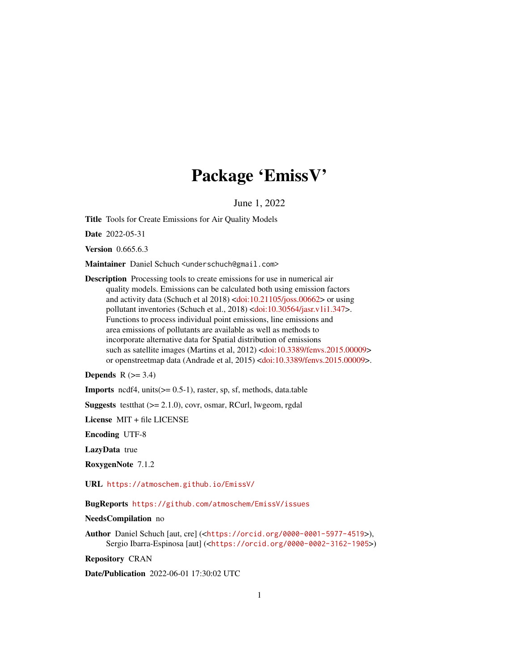# Package 'EmissV'

June 1, 2022

Title Tools for Create Emissions for Air Quality Models

Date 2022-05-31

Version 0.665.6.3

Maintainer Daniel Schuch <underschuch@gmail.com>

Description Processing tools to create emissions for use in numerical air quality models. Emissions can be calculated both using emission factors and activity data (Schuch et al 2018) [<doi:10.21105/joss.00662>](https://doi.org/10.21105/joss.00662) or using pollutant inventories (Schuch et al., 2018) [<doi:10.30564/jasr.v1i1.347>](https://doi.org/10.30564/jasr.v1i1.347). Functions to process individual point emissions, line emissions and area emissions of pollutants are available as well as methods to incorporate alternative data for Spatial distribution of emissions such as satellite images (Martins et al, 2012) [<doi:10.3389/fenvs.2015.00009>](https://doi.org/10.3389/fenvs.2015.00009) or openstreetmap data (Andrade et al, 2015) [<doi:10.3389/fenvs.2015.00009>](https://doi.org/10.3389/fenvs.2015.00009).

Depends  $R$  ( $> = 3.4$ )

**Imports** ncdf4, units $(>= 0.5-1)$ , raster, sp, sf, methods, data.table

**Suggests** testthat  $(>= 2.1.0)$ , covr, osmar, RCurl, lwgeom, rgdal

License MIT + file LICENSE

Encoding UTF-8

LazyData true

RoxygenNote 7.1.2

URL <https://atmoschem.github.io/EmissV/>

BugReports <https://github.com/atmoschem/EmissV/issues>

NeedsCompilation no

Author Daniel Schuch [aut, cre] (<<https://orcid.org/0000-0001-5977-4519>>), Sergio Ibarra-Espinosa [aut] (<<https://orcid.org/0000-0002-3162-1905>>)

Repository CRAN

Date/Publication 2022-06-01 17:30:02 UTC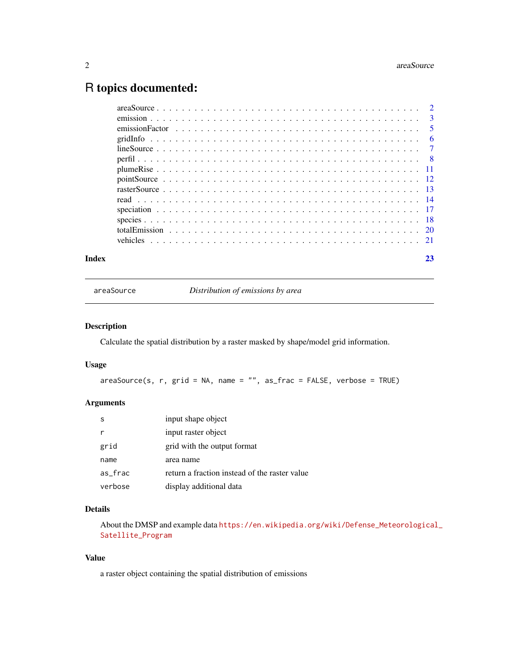## <span id="page-1-0"></span>R topics documented:

| Index |  |  |  |  |  |  |  |  |  |  |  |  |  |  |  |  |  | 23 |
|-------|--|--|--|--|--|--|--|--|--|--|--|--|--|--|--|--|--|----|

<span id="page-1-1"></span>areaSource *Distribution of emissions by area*

#### Description

Calculate the spatial distribution by a raster masked by shape/model grid information.

#### Usage

areaSource(s, r, grid = NA, name = "", as\_frac = FALSE, verbose = TRUE)

#### Arguments

| -S      | input shape object                            |
|---------|-----------------------------------------------|
|         | input raster object                           |
| grid    | grid with the output format                   |
| name    | area name                                     |
| as_frac | return a fraction instead of the raster value |
| verbose | display additional data                       |

#### Details

About the DMSP and example data [https://en.wikipedia.org/wiki/Defense\\_Meteorological](https://en.wikipedia.org/wiki/Defense_Meteorological_Satellite_Program)\_ [Satellite\\_Program](https://en.wikipedia.org/wiki/Defense_Meteorological_Satellite_Program)

#### Value

a raster object containing the spatial distribution of emissions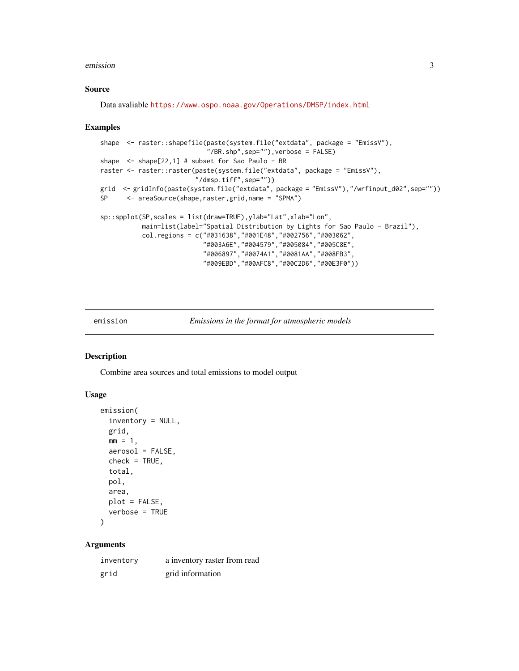#### <span id="page-2-0"></span>emission 3

#### Source

Data avaliable <https://www.ospo.noaa.gov/Operations/DMSP/index.html>

#### Examples

```
shape <- raster::shapefile(paste(system.file("extdata", package = "EmissV"),
                            "/BR.shp",sep=""),verbose = FALSE)
shape \le - shape[22,1] # subset for Sao Paulo - BR
raster <- raster::raster(paste(system.file("extdata", package = "EmissV"),
                         "/dmsp.tiff",sep=""))
grid <- gridInfo(paste(system.file("extdata", package = "EmissV"),"/wrfinput_d02",sep=""))
SP <- areaSource(shape,raster,grid,name = "SPMA")
sp::spplot(SP,scales = list(draw=TRUE),ylab="Lat",xlab="Lon",
          main=list(label="Spatial Distribution by Lights for Sao Paulo - Brazil"),
          col.regions = c("#031638","#001E48","#002756","#003062",
                           "#003A6E","#004579","#005084","#005C8E",
                           "#006897","#0074A1","#0081AA","#008FB3",
                           "#009EBD","#00AFC8","#00C2D6","#00E3F0"))
```
<span id="page-2-1"></span>emission *Emissions in the format for atmospheric models*

#### Description

Combine area sources and total emissions to model output

#### Usage

```
emission(
  inventory = NULL,
  grid,
 mm = 1,aerosol = FALSE,check = TRUE,total,
 pol,
  area,
 plot = FALSE,
  verbose = TRUE
)
```
#### Arguments

| inventory | a inventory raster from read |
|-----------|------------------------------|
| grid      | grid information             |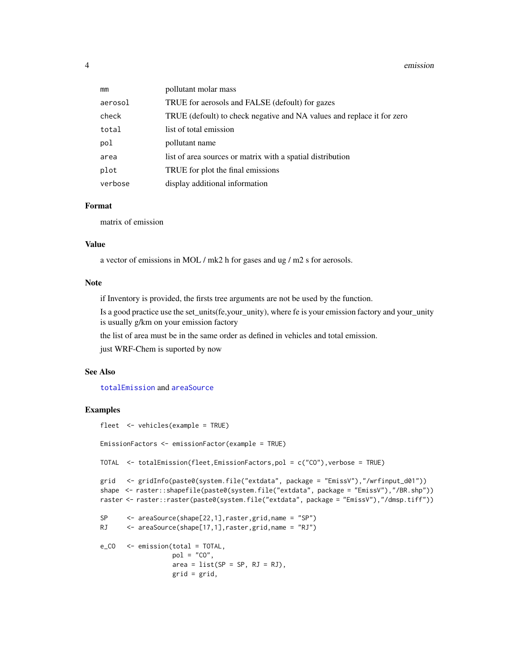#### <span id="page-3-0"></span>4 emission

| mm      | pollutant molar mass                                                   |
|---------|------------------------------------------------------------------------|
| aerosol | TRUE for aerosols and FALSE (defoult) for gazes                        |
| check   | TRUE (defoult) to check negative and NA values and replace it for zero |
| total   | list of total emission                                                 |
| pol     | pollutant name                                                         |
| area    | list of area sources or matrix with a spatial distribution             |
| plot    | TRUE for plot the final emissions                                      |
| verbose | display additional information                                         |

#### Format

matrix of emission

#### Value

a vector of emissions in MOL / mk2 h for gases and ug / m2 s for aerosols.

#### Note

if Inventory is provided, the firsts tree arguments are not be used by the function.

Is a good practice use the set\_units(fe,your\_unity), where fe is your emission factory and your\_unity is usually g/km on your emission factory

the list of area must be in the same order as defined in vehicles and total emission.

just WRF-Chem is suported by now

#### See Also

[totalEmission](#page-19-1) and [areaSource](#page-1-1)

#### Examples

```
fleet <- vehicles(example = TRUE)
```
EmissionFactors <- emissionFactor(example = TRUE)

TOTAL <- totalEmission(fleet,EmissionFactors,pol = c("CO"),verbose = TRUE)

```
grid <- gridInfo(paste0(system.file("extdata", package = "EmissV"),"/wrfinput_d01"))
shape <- raster::shapefile(paste0(system.file("extdata", package = "EmissV"),"/BR.shp"))
raster <- raster::raster(paste0(system.file("extdata", package = "EmissV"),"/dmsp.tiff"))
```

```
SP <- areaSource(shape[22,1],raster,grid,name = "SP")
RJ <- areaSource(shape[17,1],raster,grid,name = "RJ")
```

```
e_CO <- emission(total = TOTAL,
                  pol = "CO",area = list(SP = SP, RJ = RJ),grid = grid,
```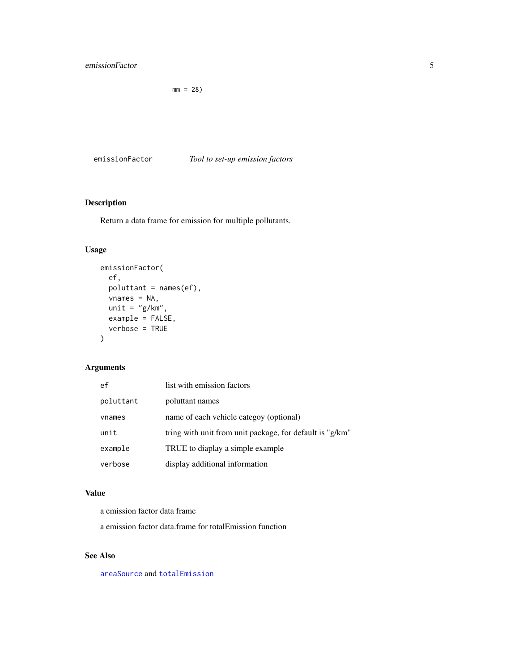#### <span id="page-4-0"></span>emissionFactor 5

 $mm = 28$ )

emissionFactor *Tool to set-up emission factors*

#### Description

Return a data frame for emission for multiple pollutants.

#### Usage

```
emissionFactor(
 ef,
 poluttant = names(ef),
 vnames = NA,
 unit = "g/km",
 example = FALSE,
 verbose = TRUE
)
```
#### Arguments

| ef        | list with emission factors                               |
|-----------|----------------------------------------------------------|
| poluttant | poluttant names                                          |
| vnames    | name of each vehicle categoy (optional)                  |
| unit      | tring with unit from unit package, for default is "g/km" |
| example   | TRUE to diaplay a simple example                         |
| verbose   | display additional information                           |

#### Value

a emission factor data frame

a emission factor data.frame for totalEmission function

#### See Also

[areaSource](#page-1-1) and [totalEmission](#page-19-1)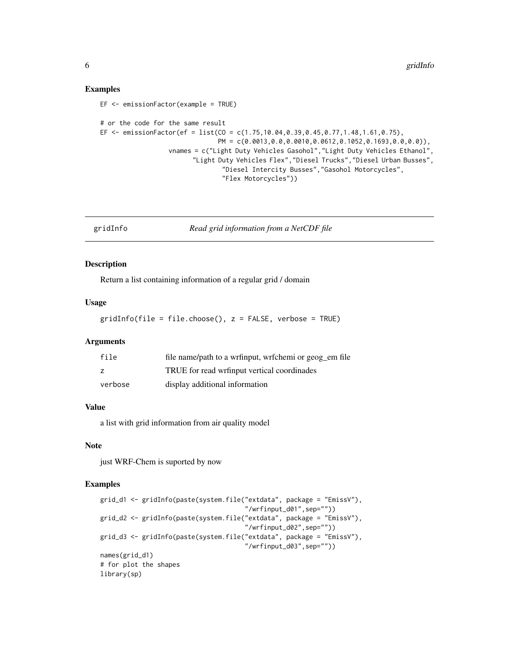#### Examples

```
EF <- emissionFactor(example = TRUE)
# or the code for the same result
EF <- emissionFactor(ef = list(CO = c(1.75,10.04,0.39,0.45,0.77,1.48,1.61,0.75),
                               PM = c(0.0013,0.0,0.0010,0.0612,0.1052,0.1693,0.0,0.0)),
                  vnames = c("Light Duty Vehicles Gasohol","Light Duty Vehicles Ethanol",
                        "Light Duty Vehicles Flex","Diesel Trucks","Diesel Urban Busses",
                                "Diesel Intercity Busses","Gasohol Motorcycles",
                                "Flex Motorcycles"))
```
<span id="page-5-1"></span>gridInfo *Read grid information from a NetCDF file*

#### Description

Return a list containing information of a regular grid / domain

#### Usage

gridInfo(file = file.choose(), z = FALSE, verbose = TRUE)

#### **Arguments**

| file    | file name/path to a wrfinput, wrfchemi or geog_em file |
|---------|--------------------------------------------------------|
| z       | TRUE for read writinput vertical coordinades           |
| verbose | display additional information                         |

#### Value

a list with grid information from air quality model

#### Note

just WRF-Chem is suported by now

#### Examples

```
grid_d1 <- gridInfo(paste(system.file("extdata", package = "EmissV"),
                                      "/wrfinput_d01",sep=""))
grid_d2 <- gridInfo(paste(system.file("extdata", package = "EmissV"),
                                      "/wrfinput_d02",sep=""))
grid_d3 <- gridInfo(paste(system.file("extdata", package = "EmissV"),
                                      "/wrfinput_d03",sep=""))
names(grid_d1)
# for plot the shapes
library(sp)
```
<span id="page-5-0"></span>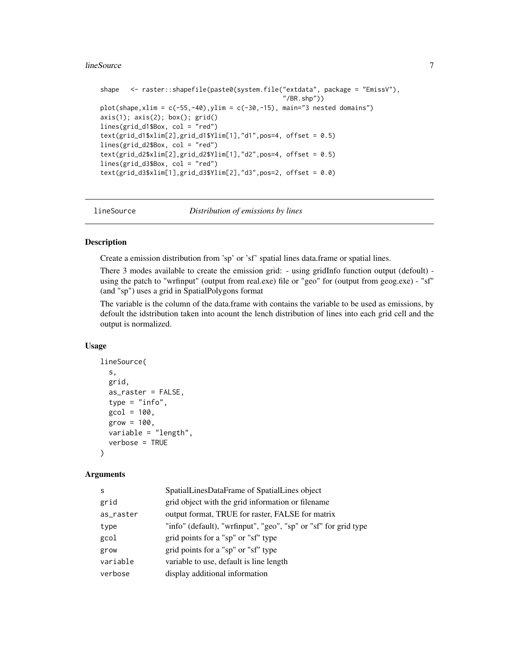#### <span id="page-6-0"></span>lineSource 7 and 7 and 7 and 7 and 7 and 7 and 7 and 7 and 7 and 7 and 7 and 7 and 7 and 7 and 7 and 7 and 7 and 7 and 7 and 7 and 7 and 7 and 7 and 7 and 7 and 7 and 7 and 7 and 7 and 7 and 7 and 7 and 7 and 7 and 7 and 7

```
shape <- raster::shapefile(paste0(system.file("extdata", package = "EmissV"),
                                                ''/BR.shp"))plot(shape, xlim = c(-55, -40), ylim = c(-30, -15), main="3 nested domains")axis(1); axis(2); box(); grid()lines(grid_d1$Box, col = "red")
text(grid_d1$xlim[2],grid_d1$Ylim[1],"d1",pos=4, offset = 0.5)
lines(grid_d2$Box, col = "red")
text(grid_d2$xlim[2],grid_d2$Ylim[1], "d2",pos=4, offset = 0.5)lines(grid_d3$Box, col = "red")
text(grid_d3$xlim[1],grid_d3$Ylim[2], "d3",pos=2, offset = 0.0)
```
<span id="page-6-1"></span>

lineSource *Distribution of emissions by lines*

#### Description

Create a emission distribution from 'sp' or 'sf' spatial lines data.frame or spatial lines.

There 3 modes available to create the emission grid: - using gridInfo function output (defoult) using the patch to "wrfinput" (output from real.exe) file or "geo" for (output from geog.exe) - "sf" (and "sp") uses a grid in SpatialPolygons format

The variable is the column of the data.frame with contains the variable to be used as emissions, by defoult the idstribution taken into acount the lench distribution of lines into each grid cell and the output is normalized.

#### Usage

```
lineSource(
  s,
  grid,
  as_raster = FALSE,
  type = "info",\text{gcol} = 100,grow = 100,
  variable = "length",
  verbose = TRUE
)
```
#### Arguments

| S         | SpatialLinesDataFrame of SpatialLines object                    |
|-----------|-----------------------------------------------------------------|
| grid      | grid object with the grid information or filename               |
| as_raster | output format, TRUE for raster, FALSE for matrix                |
| type      | "info" (default), "wrfinput", "geo", "sp" or "sf" for grid type |
| gcol      | grid points for a "sp" or "sf" type                             |
| grow      | grid points for a "sp" or "sf" type                             |
| variable  | variable to use, default is line length                         |
| verbose   | display additional information                                  |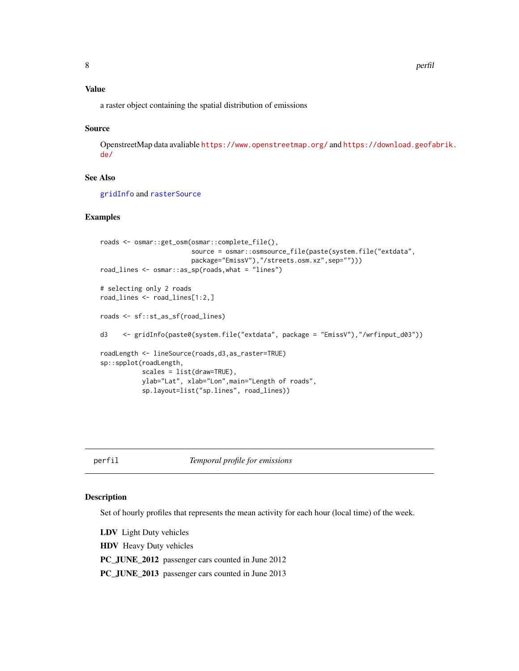#### <span id="page-7-0"></span>Value

a raster object containing the spatial distribution of emissions

#### Source

OpenstreetMap data avaliable <https://www.openstreetmap.org/> and [https://download.geofa](https://download.geofabrik.de/)brik. [de/](https://download.geofabrik.de/)

#### See Also

[gridInfo](#page-5-1) and [rasterSource](#page-12-1)

#### Examples

```
roads <- osmar::get_osm(osmar::complete_file(),
                        source = osmar::osmsource_file(paste(system.file("extdata",
                       package="EmissV"),"/streets.osm.xz",sep="")))
road_lines <- osmar::as_sp(roads,what = "lines")
# selecting only 2 roads
road_lines <- road_lines[1:2,]
roads <- sf::st_as_sf(road_lines)
d3 <- gridInfo(paste0(system.file("extdata", package = "EmissV"),"/wrfinput_d03"))
roadLength <- lineSource(roads,d3,as_raster=TRUE)
sp::spplot(roadLength,
          scales = list(draw=TRUE),
          ylab="Lat", xlab="Lon",main="Length of roads",
          sp.layout=list("sp.lines", road_lines))
```
perfil *Temporal profile for emissions*

#### Description

Set of hourly profiles that represents the mean activity for each hour (local time) of the week.

LDV Light Duty vehicles

HDV Heavy Duty vehicles

PC\_JUNE\_2012 passenger cars counted in June 2012

PC\_JUNE\_2013 passenger cars counted in June 2013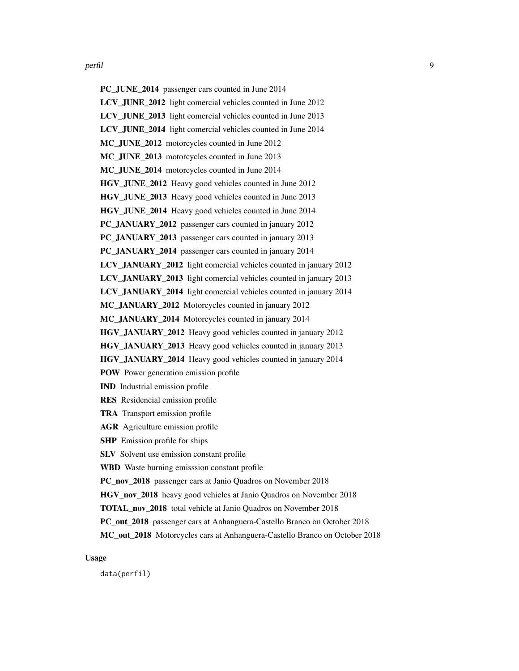PC\_JUNE\_2014 passenger cars counted in June 2014 LCV\_JUNE\_2012 light comercial vehicles counted in June 2012 LCV\_JUNE\_2013 light comercial vehicles counted in June 2013 LCV\_JUNE\_2014 light comercial vehicles counted in June 2014 MC\_JUNE\_2012 motorcycles counted in June 2012 MC JUNE 2013 motorcycles counted in June 2013 MC\_JUNE\_2014 motorcycles counted in June 2014 HGV\_JUNE\_2012 Heavy good vehicles counted in June 2012 HGV\_JUNE\_2013 Heavy good vehicles counted in June 2013 HGV\_JUNE\_2014 Heavy good vehicles counted in June 2014 PC\_JANUARY\_2012 passenger cars counted in january 2012 PC\_JANUARY\_2013 passenger cars counted in january 2013 PC\_JANUARY\_2014 passenger cars counted in january 2014 LCV\_JANUARY\_2012 light comercial vehicles counted in january 2012 LCV\_JANUARY\_2013 light comercial vehicles counted in january 2013 LCV\_JANUARY\_2014 light comercial vehicles counted in january 2014 MC\_JANUARY\_2012 Motorcycles counted in january 2012 MC\_JANUARY\_2014 Motorcycles counted in january 2014 HGV\_JANUARY\_2012 Heavy good vehicles counted in january 2012 HGV\_JANUARY\_2013 Heavy good vehicles counted in january 2013 HGV\_JANUARY\_2014 Heavy good vehicles counted in january 2014 POW Power generation emission profile IND Industrial emission profile RES Residencial emission profile TRA Transport emission profile AGR Agriculture emission profile SHP Emission profile for ships SLV Solvent use emission constant profile WBD Waste burning emisssion constant profile PC\_nov\_2018 passenger cars at Janio Quadros on November 2018 HGV nov 2018 heavy good vehicles at Janio Quadros on November 2018 TOTAL\_nov\_2018 total vehicle at Janio Quadros on November 2018 PC\_out\_2018 passenger cars at Anhanguera-Castello Branco on October 2018 MC\_out\_2018 Motorcycles cars at Anhanguera-Castello Branco on October 2018

Usage

data(perfil)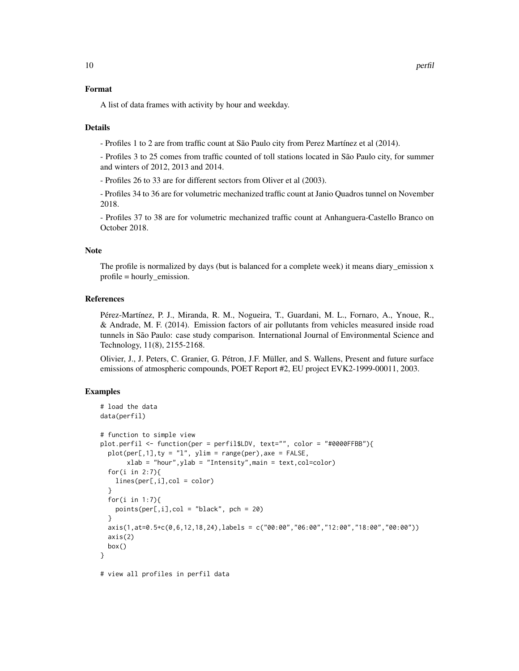#### Format

A list of data frames with activity by hour and weekday.

#### Details

- Profiles 1 to 2 are from traffic count at São Paulo city from Perez Martínez et al (2014).

- Profiles 3 to 25 comes from traffic counted of toll stations located in São Paulo city, for summer and winters of 2012, 2013 and 2014.

- Profiles 26 to 33 are for different sectors from Oliver et al (2003).

- Profiles 34 to 36 are for volumetric mechanized traffic count at Janio Quadros tunnel on November 2018.

- Profiles 37 to 38 are for volumetric mechanized traffic count at Anhanguera-Castello Branco on October 2018.

#### **Note**

The profile is normalized by days (but is balanced for a complete week) it means diary\_emission x profile = hourly\_emission.

#### References

Pérez-Martínez, P. J., Miranda, R. M., Nogueira, T., Guardani, M. L., Fornaro, A., Ynoue, R., & Andrade, M. F. (2014). Emission factors of air pollutants from vehicles measured inside road tunnels in São Paulo: case study comparison. International Journal of Environmental Science and Technology, 11(8), 2155-2168.

Olivier, J., J. Peters, C. Granier, G. Pétron, J.F. Müller, and S. Wallens, Present and future surface emissions of atmospheric compounds, POET Report #2, EU project EVK2-1999-00011, 2003.

#### Examples

```
# load the data
data(perfil)
# function to simple view
plot.perfil <- function(per = perfil$LDV, text="", color = "#0000FFBB"){
 plot(per[, 1], ty = "1", ylim = range(per), axe = FALSE,xlab = "hour", ylab = "Intensity", main = text, col=color)for(i in 2:7){
   lines(per[,i],col = color)
 }
 for(i in 1:7){
   points(per[,i],col = "black", pch = 20)}
 axis(1,at=0.5+c(0,6,12,18,24),labels = c("00:00","06:00","12:00","18:00","00:00"))
 axis(2)
 box()
}
# view all profiles in perfil data
```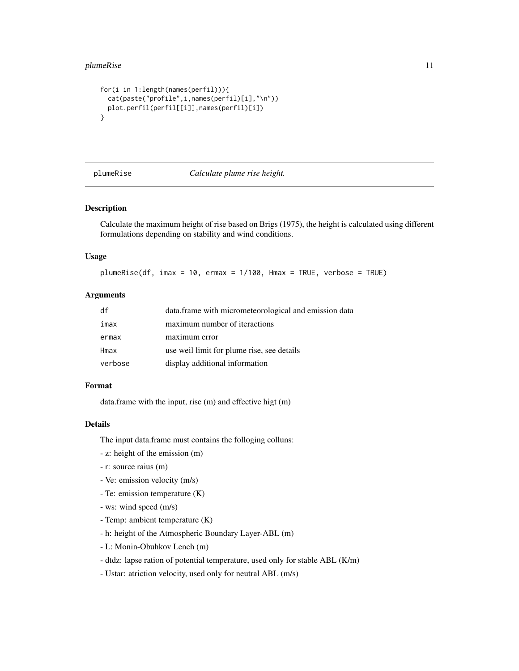#### <span id="page-10-0"></span>plumeRise 11

```
for(i in 1:length(names(perfil))){
  cat(paste("profile",i,names(perfil)[i],"\n"))
  plot.perfil(perfil[[i]],names(perfil)[i])
}
```
plumeRise *Calculate plume rise height.*

#### Description

Calculate the maximum height of rise based on Brigs (1975), the height is calculated using different formulations depending on stability and wind conditions.

#### Usage

plumeRise(df, imax = 10, ermax = 1/100, Hmax = TRUE, verbose = TRUE)

#### Arguments

| df      | data.frame with micrometeorological and emission data |
|---------|-------------------------------------------------------|
| imax    | maximum number of iteractions                         |
| ermax   | maximum error                                         |
| Hmax    | use weil limit for plume rise, see details            |
| verbose | display additional information                        |

#### Format

data.frame with the input, rise (m) and effective higt (m)

#### Details

The input data.frame must contains the folloging colluns:

- z: height of the emission (m)
- r: source raius (m)
- Ve: emission velocity (m/s)
- Te: emission temperature (K)
- ws: wind speed (m/s)
- Temp: ambient temperature (K)
- h: height of the Atmospheric Boundary Layer-ABL (m)
- L: Monin-Obuhkov Lench (m)
- dtdz: lapse ration of potential temperature, used only for stable ABL (K/m)
- Ustar: atriction velocity, used only for neutral ABL (m/s)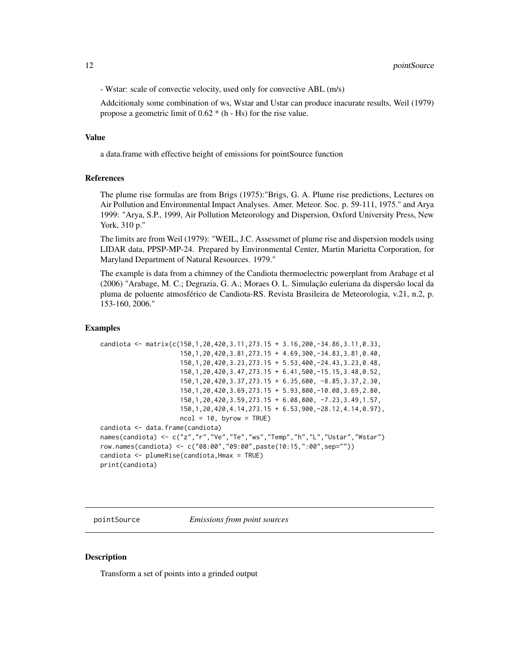<span id="page-11-0"></span>- Wstar: scale of convectie velocity, used only for convective ABL (m/s)

Addcitionaly some combination of ws, Wstar and Ustar can produce inacurate results, Weil (1979) propose a geometric limit of 0.62 \* (h - Hs) for the rise value.

#### Value

a data.frame with effective height of emissions for pointSource function

#### References

The plume rise formulas are from Brigs (1975):"Brigs, G. A. Plume rise predictions, Lectures on Air Pollution and Environmental Impact Analyses. Amer. Meteor. Soc. p. 59-111, 1975." and Arya 1999: "Arya, S.P., 1999, Air Pollution Meteorology and Dispersion, Oxford University Press, New York, 310 p."

The limits are from Weil (1979): "WEIL, J.C. Assessmet of plume rise and dispersion models using LIDAR data, PPSP-MP-24. Prepared by Environmental Center, Martin Marietta Corporation, for Maryland Department of Natural Resources. 1979."

The example is data from a chimney of the Candiota thermoelectric powerplant from Arabage et al (2006) "Arabage, M. C.; Degrazia, G. A.; Moraes O. L. Simulação euleriana da dispersão local da pluma de poluente atmosférico de Candiota-RS. Revista Brasileira de Meteorologia, v.21, n.2, p. 153-160, 2006."

#### Examples

```
candiota <- matrix(c(150,1,20,420,3.11,273.15 + 3.16,200,-34.86,3.11,0.33,
                     150,1,20,420,3.81,273.15 + 4.69,300,-34.83,3.81,0.40,
                     150,1,20,420,3.23,273.15 + 5.53,400,-24.43,3.23,0.48,
                     150,1,20,420,3.47,273.15 + 6.41,500,-15.15,3.48,0.52,
                     150,1,20,420,3.37,273.15 + 6.35,600, -8.85,3.37,2.30,
                     150,1,20,420,3.69,273.15 + 5.93,800,-10.08,3.69,2.80,
                     150,1,20,420,3.59,273.15 + 6.08,800, -7.23,3.49,1.57,
                     150,1,20,420,4.14,273.15 + 6.53,900,-28.12,4.14,0.97),
                     ncol = 10, byrow = TRUE)
candiota <- data.frame(candiota)
names(candiota) <- c("z","r","Ve","Te","ws","Temp","h","L","Ustar","Wstar")
row.names(candiota) <- c("08:00","09:00",paste(10:15,":00",sep=""))
candiota <- plumeRise(candiota,Hmax = TRUE)
print(candiota)
```
pointSource *Emissions from point sources*

#### **Description**

Transform a set of points into a grinded output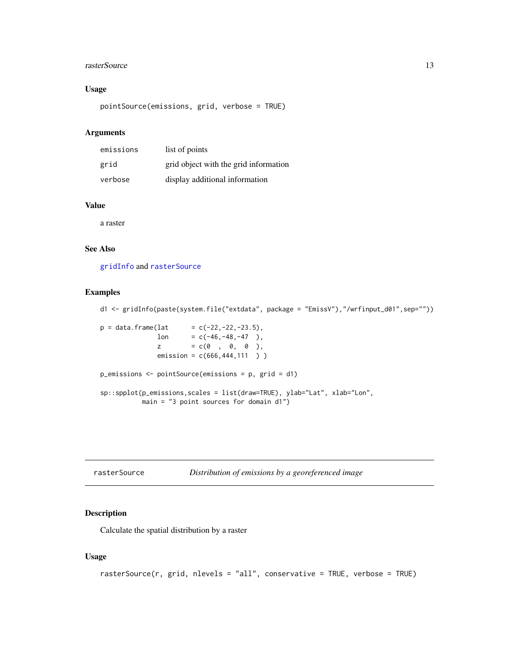#### <span id="page-12-0"></span>rasterSource 13

#### Usage

pointSource(emissions, grid, verbose = TRUE)

#### Arguments

| emissions | list of points                        |
|-----------|---------------------------------------|
| grid      | grid object with the grid information |
| verbose   | display additional information        |

#### Value

a raster

#### See Also

[gridInfo](#page-5-1) and [rasterSource](#page-12-1)

#### Examples

```
d1 <- gridInfo(paste(system.file("extdata", package = "EmissV"),"/wrfinput_d01",sep=""))
p = data. frame(lat = c(-22,-22,-23.5),
              lon = c(-46, -48, -47),
              z = c(0 , 0, 0 ),
              emission = c(666, 444, 111))
p_emissions <- pointSource(emissions = p, grid = d1)
sp::spplot(p_emissions,scales = list(draw=TRUE), ylab="Lat", xlab="Lon",
          main = "3 point sources for domain d1")
```
<span id="page-12-1"></span>

| rasterSource | Distribution of emissions by a georeferenced image |  |
|--------------|----------------------------------------------------|--|
|--------------|----------------------------------------------------|--|

#### Description

Calculate the spatial distribution by a raster

#### Usage

```
rasterSource(r, grid, nlevels = "all", conservative = TRUE, verbose = TRUE)
```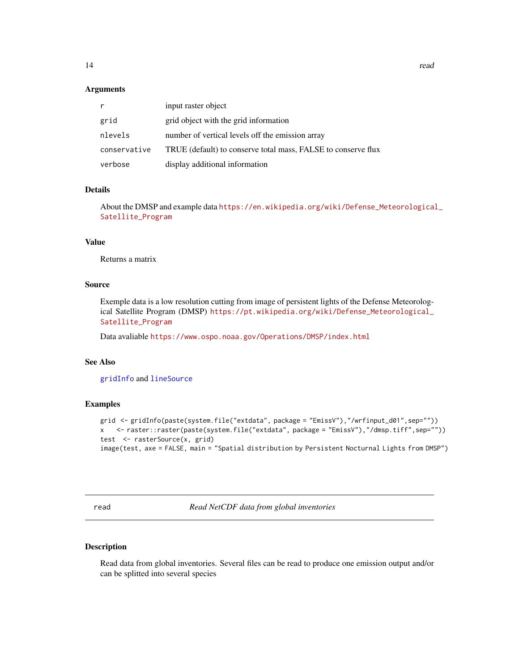#### <span id="page-13-0"></span>**Arguments**

|              | input raster object                                           |
|--------------|---------------------------------------------------------------|
| grid         | grid object with the grid information                         |
| nlevels      | number of vertical levels off the emission array              |
| conservative | TRUE (default) to conserve total mass, FALSE to conserve flux |
| verbose      | display additional information                                |

#### Details

About the DMSP and example data [https://en.wikipedia.org/wiki/Defense\\_Meteorological](https://en.wikipedia.org/wiki/Defense_Meteorological_Satellite_Program)\_ [Satellite\\_Program](https://en.wikipedia.org/wiki/Defense_Meteorological_Satellite_Program)

#### Value

Returns a matrix

#### Source

Exemple data is a low resolution cutting from image of persistent lights of the Defense Meteorological Satellite Program (DMSP) [https://pt.wikipedia.org/wiki/Defense\\_Meteorological\\_](https://pt.wikipedia.org/wiki/Defense_Meteorological_Satellite_Program) [Satellite\\_Program](https://pt.wikipedia.org/wiki/Defense_Meteorological_Satellite_Program)

Data avaliable <https://www.ospo.noaa.gov/Operations/DMSP/index.html>

#### See Also

[gridInfo](#page-5-1) and [lineSource](#page-6-1)

#### Examples

```
grid <- gridInfo(paste(system.file("extdata", package = "EmissV"),"/wrfinput_d01",sep=""))
x <- raster::raster(paste(system.file("extdata", package = "EmissV"),"/dmsp.tiff",sep=""))
test <- rasterSource(x, grid)
image(test, axe = FALSE, main = "Spatial distribution by Persistent Nocturnal Lights from DMSP")
```
<span id="page-13-1"></span>read *Read NetCDF data from global inventories*

#### Description

Read data from global inventories. Several files can be read to produce one emission output and/or can be splitted into several species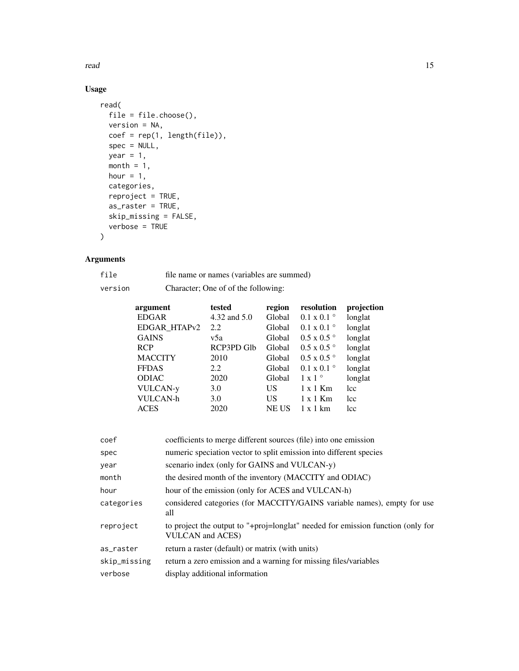read and the contract of the contract of the contract of the contract of the contract of the contract of the contract of the contract of the contract of the contract of the contract of the contract of the contract of the c

### Usage

```
read(
 file = file.choose(),
 version = NA,
 coef = rep(1, length(file)),
 spec = NULL,year = 1,month = 1,
 hour = 1,
 categories,
 reproject = TRUE,
 as_raster = TRUE,
 skip_missing = FALSE,
 verbose = TRUE
)
```
#### Arguments

| file    | file name or names (variables are summed) |
|---------|-------------------------------------------|
| version | Character; One of of the following:       |

| argument                 | tested       | region       | resolution                | projection      |
|--------------------------|--------------|--------------|---------------------------|-----------------|
| <b>EDGAR</b>             | 4.32 and 5.0 | Global       | $0.1 \times 0.1$          | longlat         |
| EDGAR HTAP <sub>v2</sub> | 2.2          | Global       | $0.1 \times 0.1$ °        | longlat         |
| <b>GAINS</b>             | v5a          | Global       | $0.5 \times 0.5$          | longlat         |
| <b>RCP</b>               | RCP3PD Glb   | Global       | $0.5 \times 0.5$          | longlat         |
| <b>MACCITY</b>           | 2010         | Global       | $0.5 \times 0.5$          | longlat         |
| <b>FFDAS</b>             | 2.2          | Global       | $0.1 \times 0.1$          | longlat         |
| <b>ODIAC</b>             | 2020         | Global       | $1 \times 1$ <sup>o</sup> | longlat         |
| <b>VULCAN-y</b>          | 3.0          | US           | $1 \times 1$ Km           | lcc             |
| <b>VULCAN-h</b>          | 3.0          | US           | $1 \times 1$ Km           | lcc             |
| <b>ACES</b>              | 2020         | <b>NE US</b> | $1 \times 1$ km           | <sub>1</sub> cc |

| coef         | coefficients to merge different sources (file) into one emission                                           |
|--------------|------------------------------------------------------------------------------------------------------------|
| spec         | numeric speciation vector to split emission into different species                                         |
| year         | scenario index (only for GAINS and VULCAN-y)                                                               |
| month        | the desired month of the inventory (MACCITY and ODIAC)                                                     |
| hour         | hour of the emission (only for ACES and VULCAN-h)                                                          |
| categories   | considered categories (for MACCITY/GAINS variable names), empty for use<br>all                             |
| reproject    | to project the output to "+proj=longlat" needed for emission function (only for<br><b>VULCAN</b> and ACES) |
| as_raster    | return a raster (default) or matrix (with units)                                                           |
| skip_missing | return a zero emission and a warning for missing files/variables                                           |
| verbose      | display additional information                                                                             |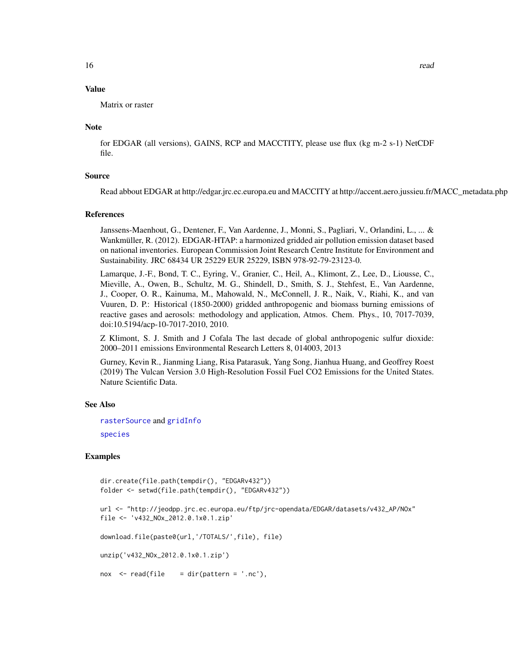#### Value

Matrix or raster

#### Note

for EDGAR (all versions), GAINS, RCP and MACCTITY, please use flux (kg m-2 s-1) NetCDF file.

#### Source

Read abbout EDGAR at http://edgar.jrc.ec.europa.eu and MACCITY at http://accent.aero.jussieu.fr/MACC\_metadata.php

#### References

Janssens-Maenhout, G., Dentener, F., Van Aardenne, J., Monni, S., Pagliari, V., Orlandini, L., ... & Wankmüller, R. (2012). EDGAR-HTAP: a harmonized gridded air pollution emission dataset based on national inventories. European Commission Joint Research Centre Institute for Environment and Sustainability. JRC 68434 UR 25229 EUR 25229, ISBN 978-92-79-23123-0.

Lamarque, J.-F., Bond, T. C., Eyring, V., Granier, C., Heil, A., Klimont, Z., Lee, D., Liousse, C., Mieville, A., Owen, B., Schultz, M. G., Shindell, D., Smith, S. J., Stehfest, E., Van Aardenne, J., Cooper, O. R., Kainuma, M., Mahowald, N., McConnell, J. R., Naik, V., Riahi, K., and van Vuuren, D. P.: Historical (1850-2000) gridded anthropogenic and biomass burning emissions of reactive gases and aerosols: methodology and application, Atmos. Chem. Phys., 10, 7017-7039, doi:10.5194/acp-10-7017-2010, 2010.

Z Klimont, S. J. Smith and J Cofala The last decade of global anthropogenic sulfur dioxide: 2000–2011 emissions Environmental Research Letters 8, 014003, 2013

Gurney, Kevin R., Jianming Liang, Risa Patarasuk, Yang Song, Jianhua Huang, and Geoffrey Roest (2019) The Vulcan Version 3.0 High-Resolution Fossil Fuel CO2 Emissions for the United States. Nature Scientific Data.

#### See Also

[rasterSource](#page-12-1) and [gridInfo](#page-5-1) [species](#page-17-1)

#### Examples

```
dir.create(file.path(tempdir(), "EDGARv432"))
folder <- setwd(file.path(tempdir(), "EDGARv432"))
url <- "http://jeodpp.jrc.ec.europa.eu/ftp/jrc-opendata/EDGAR/datasets/v432_AP/NOx"
file <- 'v432_NOx_2012.0.1x0.1.zip'
download.file(paste0(url,'/TOTALS/',file), file)
unzip('v432_NOx_2012.0.1x0.1.zip')
n(x < - read(file = dir(path = '.nc'),
```
<span id="page-15-0"></span>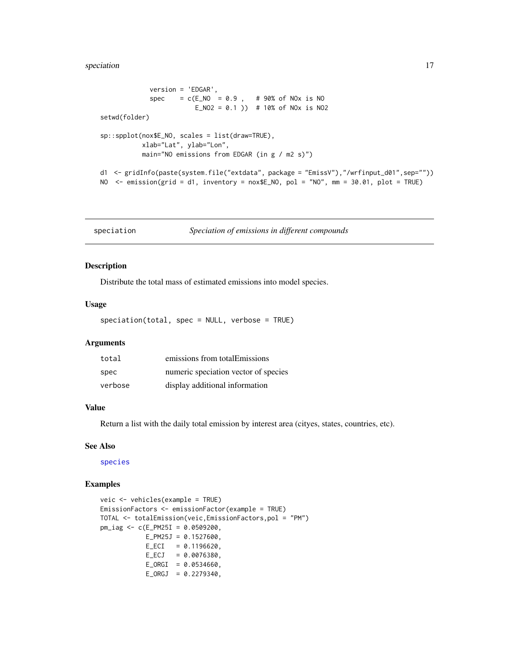<span id="page-16-0"></span>version = 'EDGAR',  $spec = c(E_N0 = 0.9, # 90% of N0x is N0)$ E\_NO2 = 0.1 )) # 10% of NOx is NO2 setwd(folder) sp::spplot(nox\$E\_NO, scales = list(draw=TRUE), xlab="Lat", ylab="Lon", main="NO emissions from EDGAR (in g / m2 s)") d1 <- gridInfo(paste(system.file("extdata", package = "EmissV"),"/wrfinput\_d01",sep="")) NO <- emission(grid = d1, inventory = nox\$E\_NO, pol = "NO", mm = 30.01, plot = TRUE)

<span id="page-16-1"></span>speciation *Speciation of emissions in different compounds*

#### Description

Distribute the total mass of estimated emissions into model species.

#### Usage

speciation(total, spec = NULL, verbose = TRUE)

#### Arguments

| total   | emissions from totalEmissions        |
|---------|--------------------------------------|
| spec    | numeric speciation vector of species |
| verbose | display additional information       |

#### Value

Return a list with the daily total emission by interest area (cityes, states, countries, etc).

#### See Also

[species](#page-17-1)

#### Examples

```
veic <- vehicles(example = TRUE)
EmissionFactors <- emissionFactor(example = TRUE)
TOTAL <- totalEmission(veic,EmissionFactors,pol = "PM")
pm_iag <- c(E_PM25I = 0.0509200,
           E_PM25J = 0.1527600,
           E\_ECI = 0.1196620,E\_ECJ = 0.0076380,E_ORGI = 0.0534660,E_ORGJ = 0.2279340,
```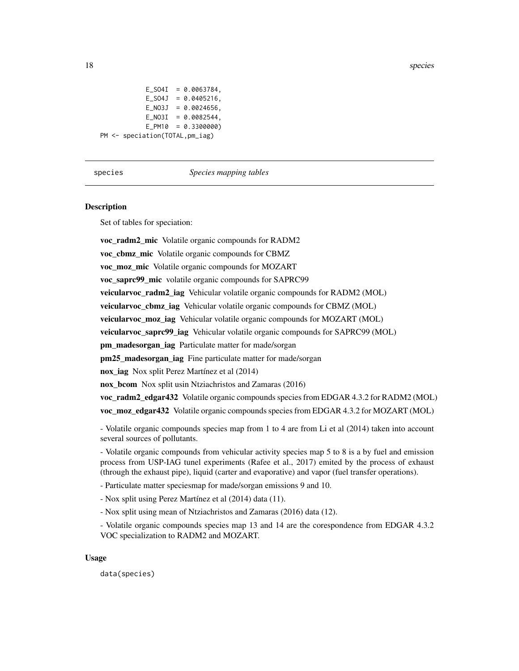```
E_SO4I = 0.0063784,
           E_S04J = 0.0405216,
           E_N03J = 0.0024656,
           E_N03I = 0.0082544,
           E_PM10 = 0.3300000)
PM <- speciation(TOTAL,pm_iag)
```
#### <span id="page-17-1"></span>species *Species mapping tables*

#### **Description**

Set of tables for speciation:

voc\_radm2\_mic Volatile organic compounds for RADM2 voc\_cbmz\_mic Volatile organic compounds for CBMZ voc\_moz\_mic Volatile organic compounds for MOZART voc\_saprc99\_mic volatile organic compounds for SAPRC99 veicularvoc\_radm2\_iag Vehicular volatile organic compounds for RADM2 (MOL) veicularvoc cbmz iag Vehicular volatile organic compounds for CBMZ (MOL) veicularvoc\_moz\_iag Vehicular volatile organic compounds for MOZART (MOL) veicularvoc saprc99 iag Vehicular volatile organic compounds for SAPRC99 (MOL) pm\_madesorgan\_iag Particulate matter for made/sorgan pm25\_madesorgan\_iag Fine particulate matter for made/sorgan nox\_iag Nox split Perez Martínez et al (2014) nox bcom Nox split usin Ntziachristos and Zamaras (2016) voc radm2 edgar432 Volatile organic compounds species from EDGAR 4.3.2 for RADM2 (MOL) voc\_moz\_edgar432 Volatile organic compounds species from EDGAR 4.3.2 for MOZART (MOL)

- Volatile organic compounds species map from 1 to 4 are from Li et al (2014) taken into account several sources of pollutants.

- Volatile organic compounds from vehicular activity species map 5 to 8 is a by fuel and emission process from USP-IAG tunel experiments (Rafee et al., 2017) emited by the process of exhaust (through the exhaust pipe), liquid (carter and evaporative) and vapor (fuel transfer operations).

- Particulate matter speciesmap for made/sorgan emissions 9 and 10.

- Nox split using Perez Martínez et al (2014) data (11).

- Nox split using mean of Ntziachristos and Zamaras (2016) data (12).

- Volatile organic compounds species map 13 and 14 are the corespondence from EDGAR 4.3.2 VOC specialization to RADM2 and MOZART.

#### Usage

data(species)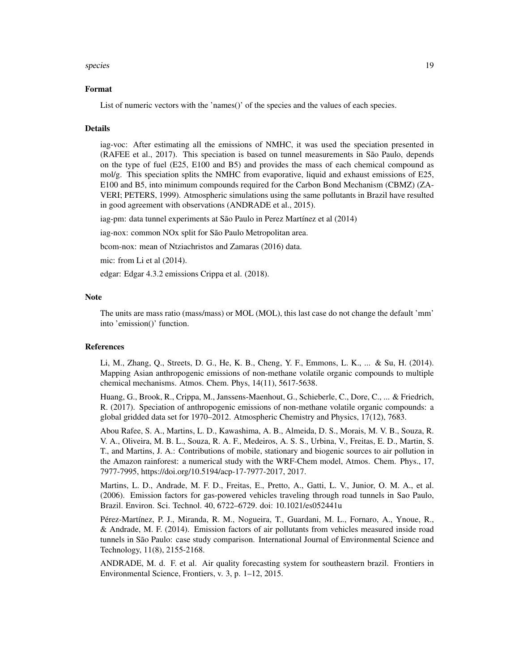#### species and the species of the species of the species of the species of the species of the species of the species of the species of the species of the species of the species of the species of the species of the species of

#### Format

List of numeric vectors with the 'names()' of the species and the values of each species.

#### **Details**

iag-voc: After estimating all the emissions of NMHC, it was used the speciation presented in (RAFEE et al., 2017). This speciation is based on tunnel measurements in São Paulo, depends on the type of fuel (E25, E100 and B5) and provides the mass of each chemical compound as mol/g. This speciation splits the NMHC from evaporative, liquid and exhaust emissions of E25, E100 and B5, into minimum compounds required for the Carbon Bond Mechanism (CBMZ) (ZA-VERI; PETERS, 1999). Atmospheric simulations using the same pollutants in Brazil have resulted in good agreement with observations (ANDRADE et al., 2015).

iag-pm: data tunnel experiments at São Paulo in Perez Martínez et al (2014)

iag-nox: common NOx split for São Paulo Metropolitan area.

bcom-nox: mean of Ntziachristos and Zamaras (2016) data.

mic: from Li et al (2014).

edgar: Edgar 4.3.2 emissions Crippa et al. (2018).

#### **Note**

The units are mass ratio (mass/mass) or MOL (MOL), this last case do not change the default 'mm' into 'emission()' function.

#### References

Li, M., Zhang, Q., Streets, D. G., He, K. B., Cheng, Y. F., Emmons, L. K., ... & Su, H. (2014). Mapping Asian anthropogenic emissions of non-methane volatile organic compounds to multiple chemical mechanisms. Atmos. Chem. Phys, 14(11), 5617-5638.

Huang, G., Brook, R., Crippa, M., Janssens-Maenhout, G., Schieberle, C., Dore, C., ... & Friedrich, R. (2017). Speciation of anthropogenic emissions of non-methane volatile organic compounds: a global gridded data set for 1970–2012. Atmospheric Chemistry and Physics, 17(12), 7683.

Abou Rafee, S. A., Martins, L. D., Kawashima, A. B., Almeida, D. S., Morais, M. V. B., Souza, R. V. A., Oliveira, M. B. L., Souza, R. A. F., Medeiros, A. S. S., Urbina, V., Freitas, E. D., Martin, S. T., and Martins, J. A.: Contributions of mobile, stationary and biogenic sources to air pollution in the Amazon rainforest: a numerical study with the WRF-Chem model, Atmos. Chem. Phys., 17, 7977-7995, https://doi.org/10.5194/acp-17-7977-2017, 2017.

Martins, L. D., Andrade, M. F. D., Freitas, E., Pretto, A., Gatti, L. V., Junior, O. M. A., et al. (2006). Emission factors for gas-powered vehicles traveling through road tunnels in Sao Paulo, Brazil. Environ. Sci. Technol. 40, 6722–6729. doi: 10.1021/es052441u

Pérez-Martínez, P. J., Miranda, R. M., Nogueira, T., Guardani, M. L., Fornaro, A., Ynoue, R., & Andrade, M. F. (2014). Emission factors of air pollutants from vehicles measured inside road tunnels in São Paulo: case study comparison. International Journal of Environmental Science and Technology, 11(8), 2155-2168.

ANDRADE, M. d. F. et al. Air quality forecasting system for southeastern brazil. Frontiers in Environmental Science, Frontiers, v. 3, p. 1–12, 2015.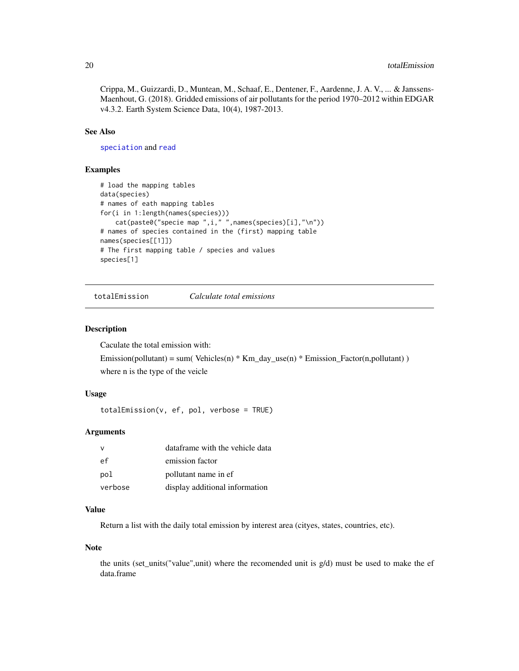<span id="page-19-0"></span>Crippa, M., Guizzardi, D., Muntean, M., Schaaf, E., Dentener, F., Aardenne, J. A. V., ... & Janssens-Maenhout, G. (2018). Gridded emissions of air pollutants for the period 1970–2012 within EDGAR v4.3.2. Earth System Science Data, 10(4), 1987-2013.

#### See Also

[speciation](#page-16-1) and [read](#page-13-1)

#### Examples

```
# load the mapping tables
data(species)
# names of eath mapping tables
for(i in 1:length(names(species)))
    cat(paste0("specie map ",i," ",names(species)[i],"\n"))
# names of species contained in the (first) mapping table
names(species[[1]])
# The first mapping table / species and values
species[1]
```
<span id="page-19-1"></span>totalEmission *Calculate total emissions*

#### Description

Caculate the total emission with:

Emission(pollutant) = sum( Vehicles(n) \* Km\_day\_use(n) \* Emission\_Factor(n,pollutant) ) where n is the type of the veicle

#### Usage

totalEmission(v, ef, pol, verbose = TRUE)

#### Arguments

| $\mathsf{v}$ | dataframe with the vehicle data |  |
|--------------|---------------------------------|--|
| еf           | emission factor                 |  |
| pol          | pollutant name in ef            |  |
| verbose      | display additional information  |  |

#### Value

Return a list with the daily total emission by interest area (cityes, states, countries, etc).

#### Note

the units (set\_units("value",unit) where the recomended unit is g/d) must be used to make the ef data.frame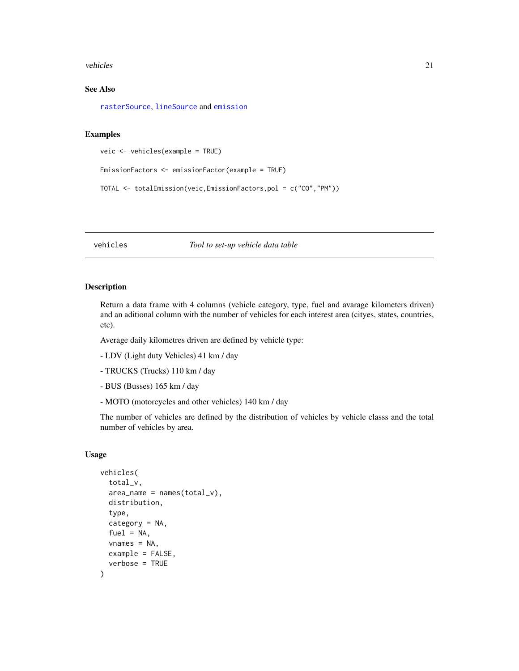#### <span id="page-20-0"></span>vehicles 21

#### See Also

[rasterSource](#page-12-1), [lineSource](#page-6-1) and [emission](#page-2-1)

#### Examples

```
veic <- vehicles(example = TRUE)
```

```
EmissionFactors <- emissionFactor(example = TRUE)
```

```
TOTAL <- totalEmission(veic,EmissionFactors,pol = c("CO","PM"))
```
#### vehicles *Tool to set-up vehicle data table*

#### Description

Return a data frame with 4 columns (vehicle category, type, fuel and avarage kilometers driven) and an aditional column with the number of vehicles for each interest area (cityes, states, countries, etc).

Average daily kilometres driven are defined by vehicle type:

- LDV (Light duty Vehicles) 41 km / day
- TRUCKS (Trucks) 110 km / day
- BUS (Busses) 165 km / day
- MOTO (motorcycles and other vehicles) 140 km / day

The number of vehicles are defined by the distribution of vehicles by vehicle classs and the total number of vehicles by area.

#### Usage

```
vehicles(
  total_v,
  area_name = names(total_v),distribution,
  type,
  category = NA,
  fuel = NA,
  vnames = NA,
  example = FALSE,
  verbose = TRUE
)
```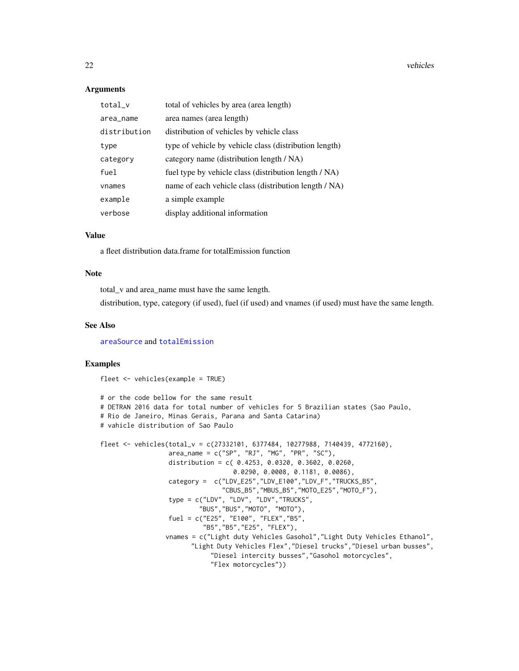22 vehicles and the contract of the contract of the contract of the contract of the contract of the contract of the contract of the contract of the contract of the contract of the contract of the contract of the contract o

#### Arguments

| total_v      | total of vehicles by area (area length)                |
|--------------|--------------------------------------------------------|
| area_name    | area names (area length)                               |
| distribution | distribution of vehicles by vehicle class              |
| type         | type of vehicle by vehicle class (distribution length) |
| category     | category name (distribution length / NA)               |
| fuel         | fuel type by vehicle class (distribution length / NA)  |
| vnames       | name of each vehicle class (distribution length / NA)  |
| example      | a simple example                                       |
| verbose      | display additional information                         |

#### Value

a fleet distribution data.frame for totalEmission function

#### Note

total\_v and area\_name must have the same length.

distribution, type, category (if used), fuel (if used) and vnames (if used) must have the same length.

#### See Also

[areaSource](#page-1-1) and [totalEmission](#page-19-1)

#### Examples

fleet <- vehicles(example = TRUE)

```
# or the code bellow for the same result
# DETRAN 2016 data for total number of vehicles for 5 Brazilian states (Sao Paulo,
# Rio de Janeiro, Minas Gerais, Parana and Santa Catarina)
# vahicle distribution of Sao Paulo
fleet <- vehicles(total_v = c(27332101, 6377484, 10277988, 7140439, 4772160),
                  area_name = c("SP", "RJ", "MG", "PR", "SC"),
                  distribution = c( 0.4253, 0.0320, 0.3602, 0.0260,
                                   0.0290, 0.0008, 0.1181, 0.0086),
                  category = c("LDV_E25","LDV_E100","LDV_F","TRUCKS_B5",
                                "CBUS_B5","MBUS_B5","MOTO_E25","MOTO_F"),
                  type = c("LDV", "LDV", "LDV", "TRUCKS","BUS","BUS","MOTO", "MOTO"),
                  fuel = c("E25", "E100", "FLEX","B5",
                           "B5","B5","E25", "FLEX"),
                 vnames = c("Light duty Vehicles Gasohol","Light Duty Vehicles Ethanol",
                        "Light Duty Vehicles Flex","Diesel trucks","Diesel urban busses",
                             "Diesel intercity busses","Gasohol motorcycles",
                             "Flex motorcycles"))
```
<span id="page-21-0"></span>